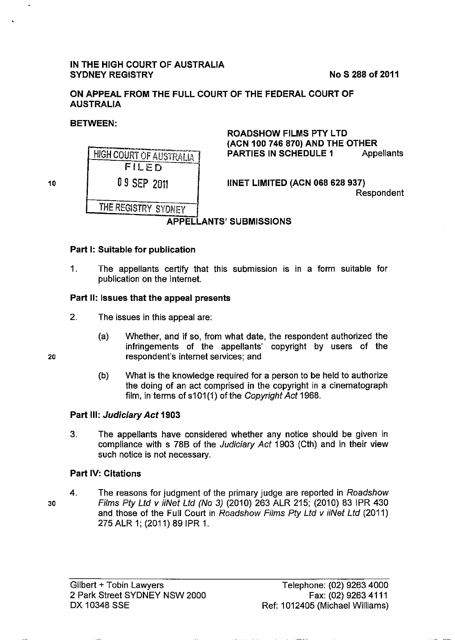### **IN THE HIGH COURT OF AUSTRALIA SYDNEY REGISTRY No. 3 288 of 2011**

### **ON APPEAL FROM THE FULL COURT OF THE FEDERAL COURT OF AUSTRALIA**

### **BETWEEN:**

10

### **ROADSHOW FILMS PTY L TO (ACN 100 746 870) AND THE OTHER PARTIES IN SCHEDULE 1** Appellants

**IINET LIMITED (ACN 068 628 937)**  Respondent

# 0 9 SEP 2011 THE REGISTRY SYDNEY

**HIGH COURT OF AUSTRALIA** FILED

## **APPELLANTS' SUBMISSIONS**

### **Part 1: Suitable for publication**

1. The appellants certify that this submission is in a form suitable for publication on the Internet.

### **Part II: Issues that the appeal presents**

- 2. The issues in this appeal are:
	- (a) Whether, and if so, from what date, the respondent authorized the infringements of the appellants' copyright by users of the respondent's internet services; and
	- (b) What is the knowledge required for a person to be held to authorize the doing of an act comprised in the copyright in a cinematograph film, in terms of s101(1) of the Copyright Act 1968.

### **Part Ill: Judiciary Act 1903**

3. The appellants have considered whether any notice should be given in compliance with s 788 of the Judiciary Act 1903 (Cth) and in their view such notice is not necessary.

### **Part IV: Citations**

4. The reasons for judgment of the primary judge are reported in Roadshow Films Pty Ltd v iiNet Ltd (No 3) (2010) 263 ALR 215; (2010) 83 IPR 430 and those of the Full Court in Roadshow Films Pty Ltd v iiNet Ltd (2011) 275 ALR 1; (2011) 89 IPR 1.

20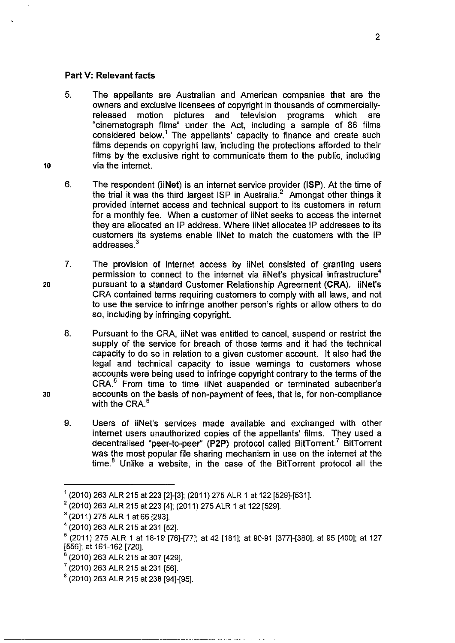#### **Part V: Relevant facts**

- 5. The appellants are Australian and American companies that are the owners and exclusive licensees of copyright in thousands of commerciallyreleased motion pictures and television programs which are "cinematograph films" under the Act, including a sample of 86 films considered below.<sup>1</sup> The appellants' capacity to finance and create such films depends on copyright law, including the protections afforded to their films by the exclusive right to communicate them to the public, including via the internet.
- 6. The respondent **(iiNet)** is an internet service provider **(ISP).** At the time of the trial it was the third largest ISP in Australia.<sup>2</sup> Amongst other things it provided internet access and technical support to its customers in return for a monthly fee. When a customer of iiNet seeks to access the internet they are allocated an IP address. Where iiNet allocates IP addresses to its customers its systems enable iiNet to match the customers with the IP addresses.<sup>3</sup>
- 7. The provision of internet access by iiNet consisted of granting users permission to connect to the internet via iiNet's physical infrastructure<sup>4</sup> pursuant to a standard Customer Relationship Agreement **(CRA).** iiNet's CRA contained terms requiring customers to comply with all laws, and not to use the service to infringe another person's rights or allow others to do so, including by infringing copyright.
	- 8. Pursuant to the CRA, iiNet was entitled to cancel, suspend or restrict the supply of the service for breach of those terms and it had the technical capacity to do so in relation to a given customer account. It also had the legal and technical capacity to issue warnings to customers whose accounts were being used to infringe copyright contrary to the terms of the CRA.<sup>5</sup> From time to time iiNet suspended or terminated subscriber's accounts on the basis of non-payment of fees, that is, for non-compliance with the CRA  $<sup>6</sup>$ </sup>
	- 9. Users of iiNet's services made available and exchanged with other internet users unauthorized copies of the appellants' films. They used a decentralised "peer-to-peer" (P2P) protocol called BitTorrent.<sup>7</sup> BitTorrent was the most popular file sharing mechanism in use on the internet at the time. $8$  Unlike a website, in the case of the BitTorrent protocol all the

20

10

<sup>1 (2010) 263</sup> ALR 215 at 223 [2]-[3]; (2011) 275 ALR 1 at 122 [529]-[531].

 $2$  (2010) 263 ALR 215 at 223 [4]; (2011) 275 ALR 1 at 122 [529].

<sup>3</sup>(2011) 275 ALR 1 at 66 [293].

<sup>&</sup>lt;sup>4</sup> (2010) 263 ALR 215 at 231 [52].

<sup>5</sup>(2011) 275 ALR 1 at 18-19 [76]-[77]; at 42 [181]; at 90-91 [377]-[380], at 95 [400]; at 127 [556]; at 161-162 [720].

 $6$  (2010) 263 ALR 215 at 307 [429].

 $7$  (2010) 263 ALR 215 at 231 [56].

<sup>8</sup>(2010) 263 ALR 215 at 238 [94]-[95].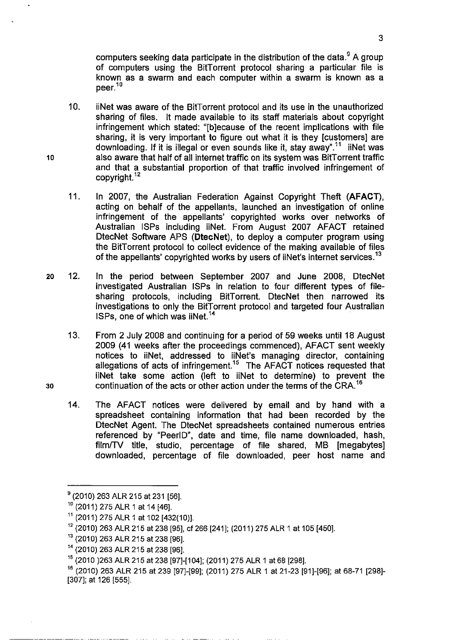computers seeking data participate in the distribution of the data.  $9^9$  A group of computers using the BitTorrent protocol sharing a particular file is known as a swarm and each computer within a swarm is known as a peer.<sup>10</sup>

- 10. iiNet was aware of the BitTorrent protocol and its use in the unauthorized sharing of files. It made available to its staff materials about copyright infringement which stated: "[b]ecause of the recent implications with file sharing, it is very important to figure out what it is they [customers] are downloading. If it is illegal or even sounds like it, stay away".<sup>11</sup> iiNet was 10 also aware that half of all internet traffic on its system was BitTorrent traffic and that a substantial proportion of that traffic involved infringement of copyright.<sup>12</sup>
	- 11. In 2007, the Australian Federation Against Copyright Theft **(AFACT),**  acting on behalf of the appellants, launched an investigation of online infringement of the appellants' copyrighted works over networks of Australian ISPs including iiNet. From August 2007 AFACT retained DtecNet Software APS **(DtecNet),** to deploy a computer program using the BitTorrent protocol to collect evidence of the making available of files of the appellants' copyrighted works by users of iiNet's internet services.<sup>13</sup>
- 20 12. In the period between September 2007 and June 2008, DtecNet investigated Australian ISPs in relation to four different types of filesharing protocols, including BitTorrent. DtecNet then narrowed its investigations to only the BitTorrent protocol and targeted four Australian  $ISPs$ , one of which was iiNet.<sup>14</sup>
- 13. From 2 July 2008 and continuing for a period of 59 weeks until 18 August 2009 (41 weeks after the proceedings commenced), AFACT sent weekly notices to iiNet, addressed to iiNet's managing director, containing allegations of acts of infringement.<sup>15</sup> The AFACT notices requested that iiNet take some action (left to iiNet to determine) to prevent the  $30$  continuation of the acts or other action under the terms of the CRA.<sup>16</sup>
	- 14. The AFACT notices were delivered by email and by hand with a spreadsheet containing information that had been recorded by the DtecNet Agent. The DtecNet spreadsheets contained numerous entries referenced by "PeeriD", date and time, file name downloaded, hash, film/TV title, studio, percentage of file shared, MB [megabytes] downloaded, percentage of file downloaded, peer host name and

 $9$  (2010) 263 ALR 215 at 231 [56].

 $10(2011)$  275 ALR 1 at 14 [46].

<sup>11</sup>(2011) 275 ALR 1 at 102 [432(10)].

<sup>&</sup>lt;sup>12</sup> (2010) 263 ALR 215 at 238 [95], cf 266 [241]; (2011) 275 ALR 1 at 105 [450].

<sup>&</sup>lt;sup>13</sup> (2010) 263 ALR 215 at 238 [96].

<sup>&</sup>lt;sup>14</sup> (2010) 263 ALR 215 at 238 [96].

<sup>&</sup>lt;sup>15</sup> (2010 )263 ALR 215 at 238 [97]-[104]; (2011) 275 ALR 1 at 68 [298].

<sup>16</sup>(2010) 263 ALR 215 at 239 [97]-[99]; (2011) 275 ALR 1 at 21-23 [91]-[96]; at 68-71 [298]- [307]; at 126 [555].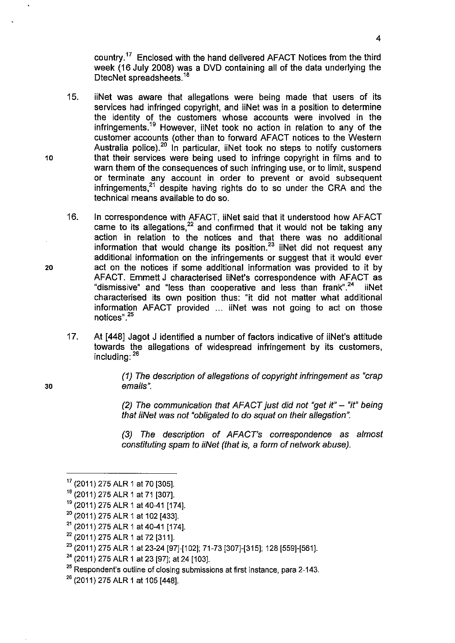country.<sup>17</sup> Enclosed with the hand delivered AFACT Notices from the third week (16 July 2008) was a DVD containing all of the data underlying the DtecNet spreadsheets.<sup>18</sup>

- 15. iiNet was aware that allegations were being made that users of its services had infringed copyright, and iiNet was in a position to determine the identity of the customers whose accounts were involved in the infringements.<sup>19</sup> However, iiNet took no action in relation to any of the customer accounts (other than to forward AFACT notices to the Western Australia police).<sup>20</sup> In particular, iiNet took no steps to notify customers 10 that their services were being used to infringe copyright in films and to warn them of the consequences of such infringing use, or to limit, suspend or terminate any account in order to prevent or avoid subsequent infringements,  $21$  despite having rights do to so under the CRA and the technical means available to do so.
- 16. In correspondence with AFACT, iiNet said that it understood how AFACT came to its allegations,<sup>22</sup> and confirmed that it would not be taking any action in relation to the notices and that there was no additional information that would change its position.<sup>23</sup> iiNet did not request any additional information on the infringements or suggest that it would ever 20 act on the notices if some additional information was provided to it by AFACT. Emmett J characterised iiNet's correspondence with AFACT as "dismissive" and "less than cooperative and less than frank".<sup>24</sup> iiNet characterised its own position thus: "it did not matter what additional information AFACT provided ... iiNet was not going to act on those notices". <sup>25</sup>
	- 17. At [448] Jagot J identified a number of factors indicative of iiNet's attitude towards the allegations of widespread infringement by its customers, including: <sup>26</sup>

(1) The description of allegations of copyright infringement as "crap ao emai/s".

> (2) The communication that AFACT just did not "get it" - "it" being that iiNet was not "obligated to do squat on their allegation".

> (3) The description of AFACT's correspondence as almost constituting spam to iiNet (that is, a form of network abuse).

<sup>17</sup>(2011) 275 ALR 1 at 70 [305].

<sup>18</sup>(2011) 275 ALR 1 at 71 [307].

<sup>19</sup> (2011)275ALR 1 at40-41 [174].

<sup>20</sup>(2011) 275 ALR 1 at 102 [433].

 $21$  (2011) 275 ALR 1 at 40-41 [174].

<sup>&</sup>lt;sup>22</sup> (2011) 275 ALR 1 at 72 [311].

<sup>&</sup>lt;sup>23</sup> (2011) 275 ALR 1 at 23-24 [97]-[102]; 71-73 [307]-[315]; 128 [559]-[561].

<sup>24</sup>(2011) 275 ALR 1 at 23 [97]; at 24 [103].

 $25$  Respondent's outline of closing submissions at first instance, para 2-143.

<sup>&</sup>lt;sup>26</sup> (2011) 275 ALR 1 at 105 [448].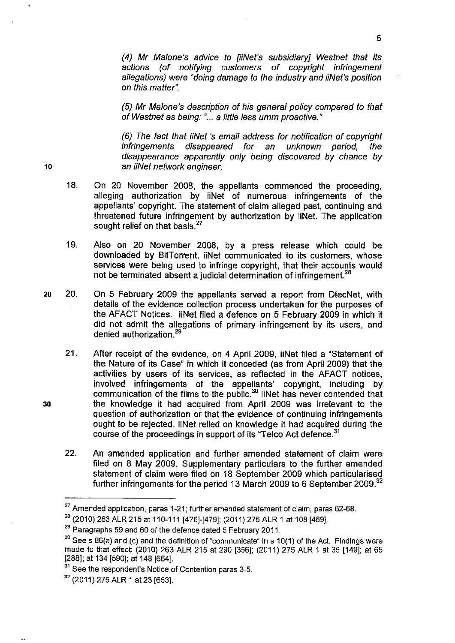(4) Mr Malone's advice to [iiNet's subsidiary] Westnet that its actions (of notifying customers of copyright infringement allegations) were "doing damage to the industry and iiNet's position on this matter".

(5) Mr Malone's description of his general policy compared to that of Westnet as being: " ... a little Jess umm proactive."

(6) The fact that iiNet 's email address for notification of copyright infringements disappeared for an unknown period, the disappearance apparently only being discovered by chance by 10 an iiNet network engineer.

- 18. On 20 November 2008, the appellants commenced the proceeding, alleging authorization by iiNet of numerous infringements of the appellants' copyright. The statement of claim alleged past, continuing and threatened future infringement by authorization by iiNet. The application sought relief on that basis.<sup>27</sup>
- 19. Also on 20 November 2008, by a press release which could be downloaded by BitTorrent, iiNet communicated to its customers, whose services were being used to infringe copyright, that their accounts would not be terminated absent a judicial determination of infringement.<sup>28</sup>
- 20 20. On 5 February 2009 the appellants served a report from DtecNet, with details of the evidence collection process undertaken for the purposes of the AFACT Notices. iiNet filed a defence on 5 February 2009 in which it did not admit the allegations of primary infringement by its users, and denied authorization.<sup>29</sup>
- 21. After receipt of the evidence, on 4 April 2009, iiNet filed a "Statement of the Nature of its Case" in which it conceded (as from April 2009) that the activities by users of its services, as reflected in the AFACT notices, involved infringements of the appellants' copyright, including by communication of the films to the public. $30$  iiNet has never contended that 30 the knowledge it had acquired from April 2009 was irrelevant to the question of authorization or that the evidence of continuing infringements ought to be rejected. iiNet relied on knowledge it had acquired during the course of the proceedings in support of its "Telco Act defence.<sup>31</sup>
	- 22. An amended application and further amended statement of claim were filed on 8 May 2009. Supplementary particulars to the further amended statement of claim were filed on 18 September 2009 which particularised further infringements for the period 13 March 2009 to 6 September 2009.<sup>32</sup>

<sup>&</sup>lt;sup>27</sup> Amended application, paras 1-21; further amended statement of claim, paras 62-68.

<sup>&</sup>lt;sup>28</sup> (2010) 263 ALR 215 at 110-111 [476]-[479]; (2011) 275 ALR 1 at 108 [469].

<sup>&</sup>lt;sup>29</sup> Paragraphs 59 and 60 of the defence dated 5 February 2011.

 $30$  See s 86(a) and (c) and the definition of "communicate" in s 10(1) of the Act. Findings were made to that effect: (2010) 263 ALR 215 at 290 [356]; (2011) 275 ALR 1 at 35 [149]; at 65 [288]; at 134 [590]; at 148 [664].

<sup>&</sup>lt;sup>31</sup> See the respondent's Notice of Contention paras 3-5.

<sup>32</sup>(2011) 275 ALR 1 at 23 [653].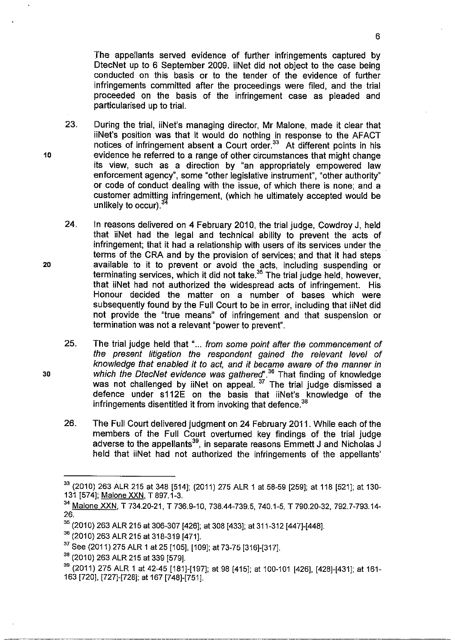The appellants served evidence of further infringements captured by DtecNet up to 6 September 2009. iiNet did not object to the case being conducted on this basis or to the tender of the evidence of further infringements committed after the proceedings were filed, and the trial proceeded on the basis of the infringement case as pleaded and particularised up to trial.

- 23. During the trial, iiNet's managing director, Mr Malone, made it clear that iiNet's position was that it would do nothing in response to the AFACT notices of infringement absent a Court order. $33$  At different points in his 10 evidence he referred to a range of other circumstances that might change its view, such as a direction by "an appropriately empowered law enforcement agency", some "other legislative instrument", "other authority" or code of conduct dealing with the issue, of which there is none; and a customer admitting infringement, (which he ultimately accepted would be unlikely to occur). $3$
- 24. In reasons delivered on 4 February 2010, the trial judge, Cowdroy J, held that iiNet had the legal and technical ability to prevent the acts of infringement; that it had a relationship with users of its services under the terms of the CRA and by the provision of services; and that it had steps 20 available to it to prevent or avoid the acts, including suspending or terminating services, which it did not take.<sup>35</sup> The trial judge held, however, that iiNet had not authorized the widespread acts of infringement. His Honour decided the matter on a number of bases which were subsequently found by the Full Court to be in error, including that iiNet did not provide the "true means" of infringement and that suspension or termination was not a relevant "power to prevent".
- 25. The trial judge held that "... from some point after the commencement of the present litigation the respondent gained the relevant level of knowledge that enabled it to act, and it became aware of the manner in 30 which the DtecNet evidence was gathered<sup>", 36</sup> That finding of knowledge was not challenged by iiNet on appeal.<sup>37</sup> The trial judge dismissed a defence under s112E on the basis that iiNet's knowledge of the infringements disentitled it from invoking that defence.<sup>38</sup>
	- 26. The Full Court delivered judgment on 24 February 2011. While each of the members of the Full Court overturned key findings of the trial judge adverse to the appellants<sup>39</sup>, in separate reasons Emmett J and Nicholas J held that iiNet had not authorized the infringements of the appellants'

<sup>&</sup>lt;sup>33</sup> (2010) 263 ALR 215 at 348 [514]; (2011) 275 ALR 1 at 58-59 [259]; at 118 [521]; at 130-131 [574]; MaloneXXN, T 897.1-3.

<sup>&</sup>lt;sup>34</sup> Malone XXN, T 734.20-21, T 736.9-10, 738.44-739.5, 740.1-5, T 790.20-32, 792.7-793.14-26.

<sup>&</sup>lt;sup>35</sup> (2010) 263 ALR 215 at 306-307 [426]; at 308 [433]; at 311-312 [447]-[448].

<sup>&</sup>lt;sup>36</sup> (2010) 263 ALR 215 at 318-319 [471].

<sup>&</sup>lt;sup>37</sup> See (2011) 275 ALR 1 at 25 [105], [109]; at 73-75 [316]-[317].

<sup>&</sup>lt;sup>38</sup> (2010) 263 ALR 215 at 339 [579].

<sup>&</sup>lt;sup>39</sup> (2011) 275 ALR 1 at 42-45 [181]-[197]; at 98 [415]; at 100-101 [426], [428]-[431]; at 161-163 [720], [727]-[728]; at 167 [748]-[751].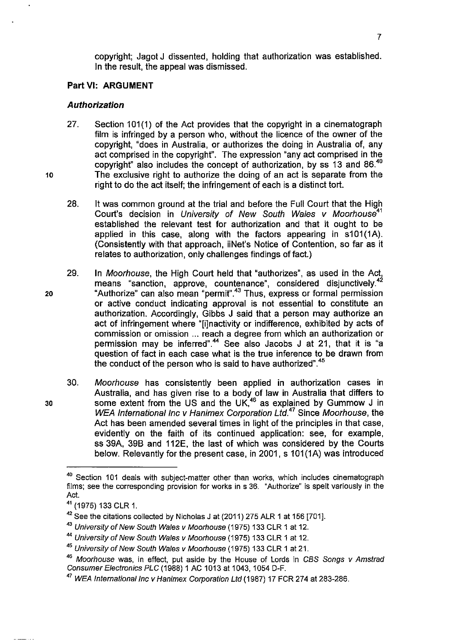copyright; Jagot J dissented, holding that authorization was established. In the result, the appeal was dismissed.

#### **Part** VI: **ARGUMENT**

#### **Authorization**

- 27. Section 101(1) of the Act provides that the copyright in a cinematograph film is infringed by a person who, without the licence of the owner of the copyright, "does in Australia, or authorizes the doing in Australia of, any act comprised in the copyright". The expression "any act comprised in the copyright" also includes the concept of authorization, by ss 13 and 86.40 The exclusive right to authorize the doing of an act is separate from the right to do the act itself; the infringement of each is a distinct tort.
- 28. It was common ground at the trial and before the Full Court that the High Court's decision in University of New South Wales v Moorhouse<sup>41</sup> established the relevant test for authorization and that it ought to be applied in this case, along with the factors appearing in  $\mathfrak{so}(11)$ . (Consistently with that approach, iiNet's Notice of Contention, so far as it relates to authorization, only challenges findings of fact.)
- 29. In Moorhouse, the High Court held that "authorizes", as used in the Act, means "sanction, approve, countenance", considered disjunctively.<sup>42</sup> "Authorize" can also mean "permit".43 Thus, express or formal permission or active conduct indicating approval is not essential to constitute an authorization. Accordingly, Gibbs J said that a person may authorize an act of infringement where "[i]nactivity or indifference, exhibited by acts of commission or omission ... reach a degree from which an authorization or permission may be inferred".<sup>44</sup> See also Jacobs J at 21, that it is "a question of fact in each case what is the true inference to be drawn from the conduct of the person who is said to have authorized".<sup>45</sup>
	- 30. Moorhouse has consistently been applied in authorization cases in Australia, and has given rise to a body of law in Australia that differs to some extent from the US and the UK,<sup>46</sup> as explained by Gummow J in WEA International Inc v Hanimex Corporation Ltd.*<sup>47</sup>*Since Moorhouse, the Act has been amended several times in light of the principles in that case, evidently on the faith of its continued application: see, for example, ss 39A, 398 and 112E, the last of which was considered by the Courts below. Relevantly for the present case, in 2001, s 101(1A) was introduced

10

20

 $40$  Section 101 deals with subject-matter other than works, which includes cinematograph films; see the corresponding provision for works in s 36. "Authorize" is spell variously in the Act.

<sup>41</sup>(1975) 133 CLR 1.

 $42$  See the citations collected by Nicholas J at (2011) 275 ALR 1 at 156 [701].

<sup>&</sup>lt;sup>43</sup> University of New South Wales v Moorhouse (1975) 133 CLR 1 at 12.

<sup>&</sup>lt;sup>44</sup> University of New South Wales v Moorhouse (1975) 133 CLR 1 at 12.

<sup>&</sup>lt;sup>45</sup> University of New South Wales v Moorhouse (1975) 133 CLR 1 at 21.

 $46$  Moorhouse was, in effect, put aside by the House of Lords in CBS Songs v Amstrad Consumer Electronics PLC (1988) 1 AC 1013 at 1043, 1054 0-F.

<sup>&</sup>lt;sup>47</sup> WEA International Inc v Hanimex Corporation Ltd (1987) 17 FCR 274 at 283-286.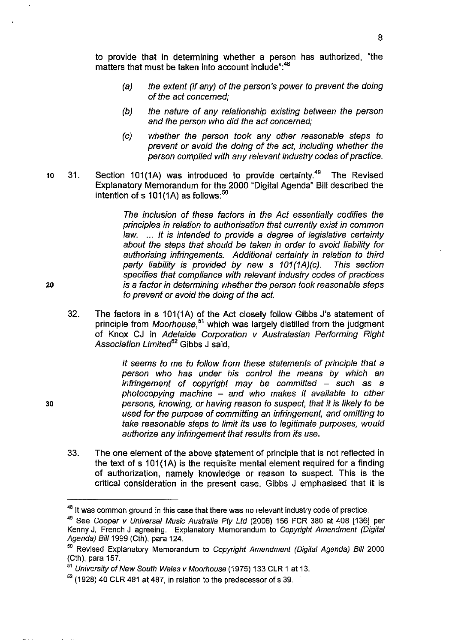- (a) the extent (if any) of the person's power to prevent the doing of the act concerned;
- (b) the nature of any relationship existing between the person and the person who did the act concerned;
- (c) whether the person took any other reasonable steps to prevent or avoid the doing of the act, including whether the person complied with any relevant industry codes of practice.
- 10  $31.$  Section 101(1A) was introduced to provide certainty.<sup>49</sup> The Revised Explanatory Memorandum for the 2000 "Digital Agenda" Bill described the intention of s  $101(1A)$  as follows:<sup>50</sup>

The inclusion of these factors in the Act essentially codifies the principles in relation to authorisation that currently exist in common law. ... It is intended to provide a degree of legislative certainty about the steps that should be taken in order to avoid liability for authorising infringements. Additional certainty in relation to third party liability is provided by new s 101(1A)(c). This section specifies that compliance with relevant industry codes of practices is a factor in determining whether the person took reasonable steps to prevent or avoid the doing of the act.

32. The factors in s 101(1A) of the Act closely follow Gibbs J's statement of principle from Moorhouse,<sup>51</sup> which was largely distilled from the judgment of Knox CJ in Adelaide Corporation v Australasian Performing Right Association Limited<sup>52</sup> Gibbs J said.

> It seems to me to follow from these statements of principle that a person who has under his control the means by which an infringement of copyright may be committed  $-$  such as a photocopying machine  $-$  and who makes it available to other persons, knowing, or having reason to suspect, that it is likely to be used for the purpose of committing an infringement, and omitting to take reasonable steps to limit its use to legitimate purposes, would authorize any infringement that results from its use.

33. The one element of the above statement of principle that is not reflected in the text of s 101(1A) is the requisite mental element required for a finding of authorization, namely knowledge or reason to suspect. This is the critical consideration in the present case. Gibbs J emphasised that it is

 $48$  It was common ground in this case that there was no relevant industry code of practice.

 $49$  See Cooper v Universal Music Australia Pty Ltd (2006) 156 FCR 380 at 408 [136] per Kenny J, French J agreeing. Explanatory Memorandum to Copyright Amendment (Digital Agenda) Bill 1999 (Cth), para 124.

<sup>50</sup> Revised Explanatory Memorandum to Copyright Amendment (Digital Agenda) Bill 2000 (Cth), para 157.

<sup>&</sup>lt;sup>51</sup> University of New South Wales v Moorhouse (1975) 133 CLR 1 at 13.

 $52$  (1928) 40 CLR 481 at 487, in relation to the predecessor of s 39.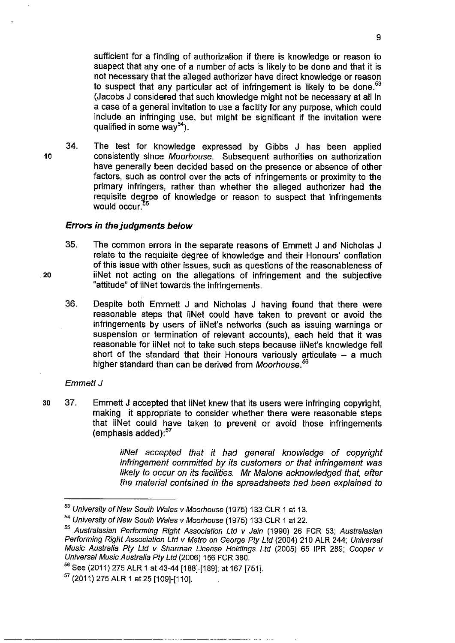sufficient for a finding of authorization if there is knowledge or reason to suspect that any one of a number of acts is likely to be done and that it is not necessary that the alleged authorizer have direct knowledge or reason to suspect that any particular act of infringement is likely to be done.<sup>53</sup> (Jacobs J considered that such knowledge might not be necessary at all in a case of a general invitation to use a facility for any purpose, which could include an infringing use, but might be significant if the invitation were qualified in some way<sup>54</sup>).

34. The test for knowledge expressed by Gibbs J has been applied consistently since Moorhouse. Subsequent authorities on authorization have generally been decided based on the presence or absence of other factors, such as control over the acts of infringements or proximity to the primary infringers, rather than whether the alleged authorizer had the requisite degree of knowledge or reason to suspect that infringements would occur.<sup>5</sup>

#### **Errors in the judgments below**

- 35. The common errors in the separate reasons of Emmett J and Nicholas J relate to the requisite degree of knowledge and their Honours' conflation of this issue with other issues, such as questions of the reasonableness of iiNet not acting on the allegations of infringement and the subjective "attitude" of iiNet towards the infringements.
- 36. Despite both Emmett J and Nicholas J having found that there were reasonable steps that iiNet could have taken to prevent or avoid the infringements by users of iiNet's networks (such as issuing warnings or suspension or termination of relevant accounts), each held that it was reasonable for iiNet not to take such steps because iiNet's knowledge fell short of the standard that their Honours variously articulate  $-$  a much higher standard than can be derived from Moorhouse. *<sup>56</sup>*

#### Emmett J

30 37. Emmett J accepted that iiNet knew that its users were infringing copyright, making it appropriate to consider whether there were reasonable steps that iiNet could have taken to prevent or avoid those infringements (emphasis added): $57$ 

> iiNet accepted that it had general knowledge of copyright infringement committed by its customers or that infringement was likely to occur on its facilities. Mr Malone acknowledged that, after the material contained in the spreadsheets had been explained to

20

<sup>53</sup> University of New South Wales v Moorhouse (1975) 133 CLR 1 at 13.

<sup>&</sup>lt;sup>54</sup> University of New South Wales v Moorhouse (1975) 133 CLR 1 at 22.

<sup>55</sup> Australasian Performing Right Association Ltd v Jain (1990) 26 FCR 53; Australasian Performing Right Association Ltd v Metro on George Ply Ltd (2004) 210 ALR 244; Universal Music Australia Ply Ltd v Sharman License Holdings Ltd (2005) 65 IPR 289; Cooper v Universal Music Australia Ply Ltd (2006) 156 FCR 380.

<sup>&</sup>lt;sup>56</sup> See (2011) 275 ALR 1 at 43-44 [188]-[189]; at 167 [751].

<sup>&</sup>lt;sup>57</sup> (2011) 275 ALR 1 at 25 [109]-[110].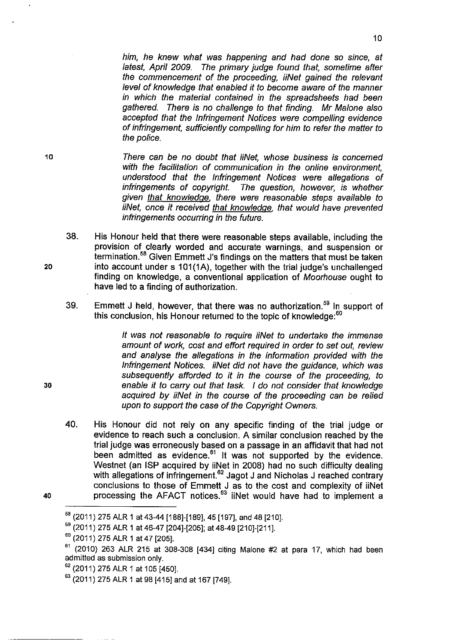him, he knew what was happening and had done so since, at latest, April 2009. The primary judge found that, sometime after the commencement of the proceeding, iiNet gained the relevant level of knowledge that enabled it to become aware of the manner in which the material contained in the spreadsheets had been gathered. There is no challenge to that finding. Mr Malone also accepted that the Infringement Notices were compelling evidence of infringement, sufficiently compelling for him to refer the matter to the police.

- There can be no doubt that iiNet, whose business is concerned with the facilitation of communication in the online environment. understood that the Infringement Notices were allegations of infringements of copyright. The question, however, is whether given that knowledge, there were reasonable steps available to iiNet, once it received that knowledge, that would have prevented infringements occurring in the future.
- 38. His Honour held that there were reasonable steps available, including the provision of clearly worded and accurate warnings, and suspension or termination.<sup>58</sup> Given Emmett J's findings on the matters that must be taken into account under s 101(1A), together with the trial judge's unchallenged finding on knowledge, a conventional application of Moorhouse ought to have led to a finding of authorization.
- 39. Emmett J held, however, that there was no authorization.<sup>59</sup> In support of this conclusion, his Honour returned to the topic of knowledge:<sup>60</sup>

It was not reasonable to require iiNet to undertake the immense amount of work, cost and effort required in order to set out, review and analyse the allegations in the information provided with the Infringement Notices. iiNet did not have the guidance, which was subsequently afforded to it in the course of the proceeding, to enable it to carry out that task. I do not consider that knowledge acquired by iiNet in the course of the proceeding can be relied upon to support the case of the Copyright Owners.

40. His Honour did not rely on any specific finding of the trial judge or evidence to reach such a conclusion. A similar conclusion reached by the trial judge was erroneously based on a passage in an affidavit that had not been admitted as evidence.<sup>61</sup> It was not supported by the evidence. Westnet (an ISP acquired by iiNet in 2008) had no such difficulty dealing with allegations of infringement.<sup>62</sup> Jagot J and Nicholas J reached contrary conclusions to those of Emmett J as to the cost and complexity of iiNet processing the AFACT notices.<sup>63</sup> iiNet would have had to implement a

30

20

<sup>40</sup> 

<sup>58</sup>(2011) 275 ALR 1 at43-44 [188]-[189], 45 [197], and 48 [210].

<sup>&</sup>lt;sup>59</sup> (2011) 275 ALR 1 at 46-47 [204]-[205]; at 48-49 [210]-[211].

 $60(2011)$  275 ALR 1 at 47 [205].

 $61$  (2010) 263 ALR 215 at 308-308 [434] citing Malone #2 at para 17, which had been admitted as submission only.

 $62(2011)$  275 ALR 1 at 105 [450].

<sup>&</sup>lt;sup>63</sup> (2011) 275 ALR 1 at 98 [415] and at 167 [749].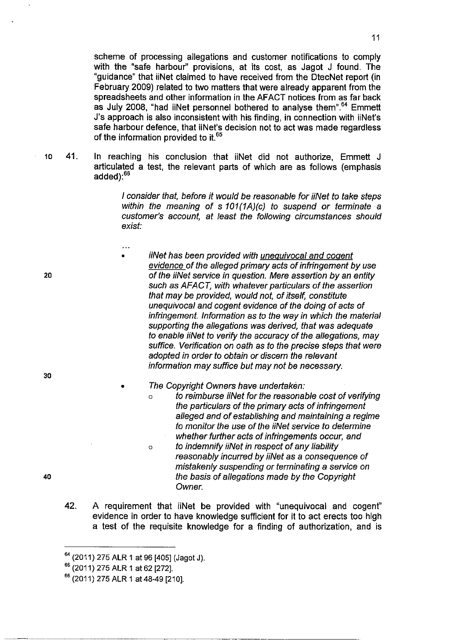scheme of processing allegations and customer notifications to comply with the "safe harbour" provisions, at its cost, as Jagot J found. The "guidance" that iiNet claimed to have received from the DtecNet report (in February 2009) related to two matters that were already apparent from the spreadsheets and other information in the AFACT notices from as far back as July 2008, "had iiNet personnel bothered to analyse them".<sup>64</sup> Emmett J's approach is also inconsistent with his finding, in connection with iiNet's safe harbour defence, that iiNet's decision not to act was made regardless of the information provided to it.<sup>65</sup>

10 41. In reaching his conclusion that iiNet did not authorize, Emmett J articulated a test, the relevant parts of which are as follows (emphasis added):<sup>66</sup>

> I consider that, before it would be reasonable for iiNet to take steps within the meaning of s 101(1A)(c) to suspend or terminate a customer's account, at least the following circumstances should exist:

> • iiNet has been provided with unequivocal and cogent evidence of the alleged primary acts of infringement by use of the iiNet service in question. Mere assertion by an entity such as AFACT, with whatever particulars of the assertion that may be provided, would not, of itself, constitute unequivocal and cogent evidence of the doing of acts of infringement. Information as to the way in which the material supporting the allegations was derived, that was adequate to enable iiNet to verify the accuracy of the allegations, may suffice. Verification on oath as to the precise steps that were adopted in order to obtain or discern the relevant information may suffice but may not be necessary.

#### The Copyright Owners have undertaken:

- o to reimburse iiNet for the reasonable cost of verifying the particulars of the primary acts of infringement alleged and of establishing and maintaining a regime to monitor the use of the iiNet service to determine whether further acts of infringements occur, and
- o to indemnify iiNet in respect of any liability reasonably incurred by iiNet as a consequence of mistakenly suspending or terminating a service on the basis of allegations made by the Copyright Owner.
- 42. A requirement that iiNet be provided with "unequivocal and cogent" evidence in order to have knowledge sufficient for it to act erects too high a test of the requisite knowledge for a finding of authorization, and is

•

 $\cdot$  . .

20

30

<sup>64</sup>(2011) 275 ALR 1 at 96 [405](Jagot J).

<sup>65</sup>(2011) 275 ALR 1 at 62 [272].

<sup>&</sup>lt;sup>66</sup> (2011) 275 ALR 1 at 48-49 [210].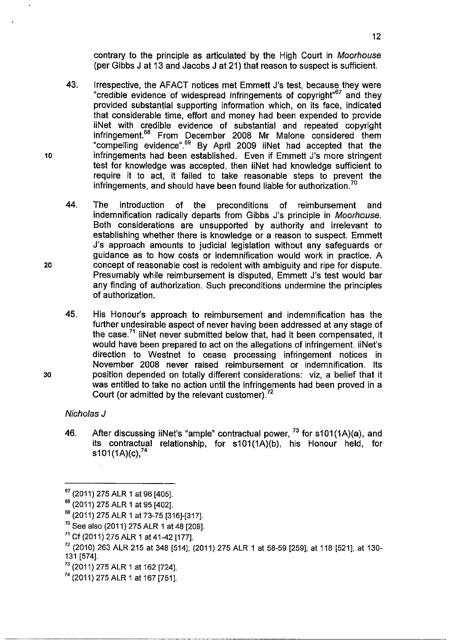contrary to the principle as articulated by the High Court in Moorhouse (per Gibbs J at 13 and Jacobs J at 21) that reason to suspect is sufficient.

- 43. Irrespective, the AFACT notices met Emmett J's test, because they were "credible evidence of widespread infringements of copyright"67 and they provided substantial supporting information which, on its face, indicated that considerable time, effort and money had been expended to provide iiNet with credible evidence of substantial and repeated copyright infringement.68 From December 2008 Mr Malone considered them "compelling evidence". $69$  By April 2009 iiNet had accepted that the 10 infringements had been established. Even if Emmett J's more stringent test for knowledge was accepted, then iiNet had knowledge sufficient to require it to act, it failed to take reasonable steps to prevent the infringements, and should have been found liable for authorization.<sup>70</sup>
- 44. The introduction of the preconditions of reimbursement and indemnification radically departs from Gibbs J's principle in Moorhouse. Both considerations are unsupported by authority and irrelevant to establishing whether there is knowledge or a reason to suspect. Emmett J's approach amounts to judicial legislation without any safeguards or guidance as to how costs or indemnification would work in practice. A 20 concept of reasonable cost is redolent with ambiguity and ripe for dispute. Presumably while reimbursement is disputed, Emmett J's test would bar any finding of authorization. Such preconditions undermine the principles of authorization.
- 45. His Honour's approach to reimbursement and indemnification has the further undesirable aspect of never having been addressed at any stage of the case.<sup> $71$ </sup> iiNet never submitted below that, had it been compensated, it would have been prepared to act on the allegations of infringement. iiNet's direction to Westnet to cease processing infringement notices in November 2008 never raised reimbursement or indemnification. Its 30 position depended on totally different considerations: viz, a belief that it was entitled to take no action until the infringements had been proved in a Court (or admitted by the relevant customer). $72$

### Nicholas J

46. After discussing iiNet's "ample" contractual power,  $^{73}$  for s101(1A)(a), and its contractual relationship, for s101(1A)(b), his Honour held, for  $s101(1A)(c),$ <sup>74</sup>

<sup>73</sup>(2011) 275 ALR 1 at 162 [724].

<sup>67</sup>(2011) 275 ALR 1 at 96 [405].

<sup>&</sup>lt;sup>68</sup> (2011) 275 ALR 1 at 95 [402].

<sup>&</sup>lt;sup>69</sup> (2011) 275 ALR 1 at 73-75 [316]-[317].

 $70$  See also (2011) 275 ALR 1 at 48 [209].

 $71$  Cf (2011) 275 ALR 1 at 41-42 [177].

<sup>72</sup>(2010) 263 ALR 215 at 348 [514]; (2011) 275 ALR 1 at 58-59 [259]; at 118 [521]; at 130- 131 [574].

<sup>74</sup>(2011) 275 ALR 1 at 167 [751].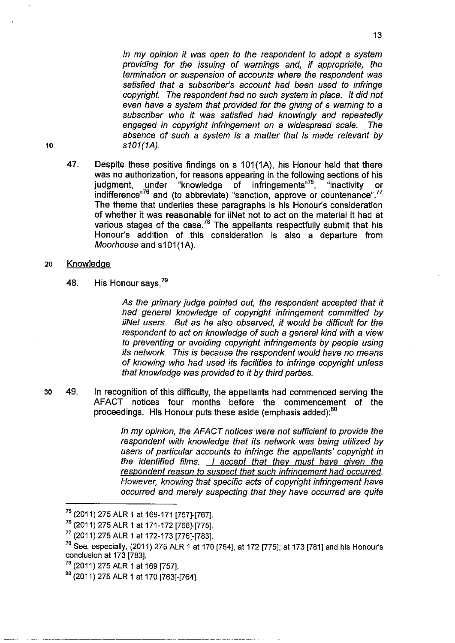In my opinion it was open to the respondent to adopt a system providing for the issuing of warnings and, if appropriate, the termination or suspension of accounts where the respondent was satisfied that a subscriber's account had been used to infringe copyright. The respondent had no such system in place. It did not even have a system that provided for the giving of a warning to a subscriber who it was satisfied had knowingly and repeatedly engaged in copyright infringement on a widespread scale. The absence of such a system is a matter that is made relevant by s101(1A).

- 47. Despite these positive findings on s 101(1A), his Honour held that there was no authorization, for reasons appearing in the following sections of his iudoment. under "knowledge of infringements" "inactivity or under "knowledge of infringements", "inactivity or indifference<sup>"76</sup> and (to abbreviate) "sanction, approve or countenance".<sup>77</sup> The theme that underlies these paragraphs is his Honour's consideration of whether it was **reasonable** for iiNet not to act on the material it had at various stages of the case.<sup>78</sup> The appellants respectfully submit that his Honour's addition of this consideration is also a departure from Moorhouse and s101(1A).
- 20 Knowledge
	- 48. His Honour says.<sup>79</sup>

As the primary judge pointed out, the respondent accepted that it had general knowledge of copyright infringement committed by iiNet users. But as he also observed, it would be difficult for the respondent to act on knowledge of such a general kind with a view to preventing or avoiding copyright infringements by people using its network. This is because the respondent would have no means of knowing who had used its facilities to infringe copyright unless that knowledge was provided to it by third parties.

30 49. In recognition of this difficulty, the appellants had commenced serving the AFACT notices four months before the commencement of the proceedings. His Honour puts these aside (emphasis added):<sup>80</sup>

> In my opinion, the AFACT notices were not sufficient to provide the respondent with knowledge that its network was being utilized by users of particular accounts to infringe the appellants' copyright in the identified films. I accept that they must have given the respondent reason to suspect that such infringement had occurred. However, knowing that specific acts of copyright infringement have occurred and merely suspecting that they have occurred are quite

<sup>75</sup>(2011) 275 ALR 1 at 169-171 [757]-[767].

<sup>76</sup>(2011) 275 ALR 1 at 171-172 [768]-[775].

<sup>77</sup>(2011) 275 ALR 1 at 172-173 [776]-[783].

 $78$  See, especially, (2011) 275 ALR 1 at 170 [764]; at 172 [775]; at 173 [781] and his Honour's conclusion at 173 [783].

<sup>79</sup>(2011) 275 ALR 1 at 169 [757].

<sup>80</sup>(2011) 275 ALR 1 at 170 [763]-[764].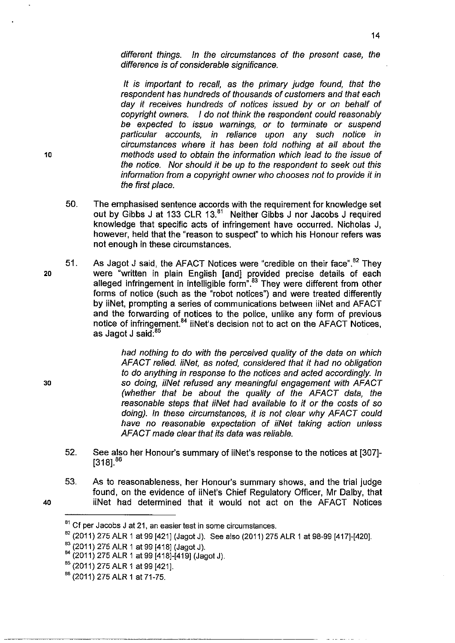different things. In the circumstances of the present case, the difference is of considerable significance.

It is important to recall, as the primary judge found, that the respondent has hundreds of thousands of customers and that each day it receives hundreds of notices issued by or on behalf of copyright owners. I do not think the respondent could reasonably be expected to issue warnings, or to terminate or suspend particular accounts, in reliance upon any such notice in circumstances where it has been told nothing at all about the 10 methods used to obtain the information which lead to the issue of the notice. Nor should it be up to the respondent to seek out this information from a copyright owner who chooses not to provide it in the first place.

- 50. The emphasised sentence accords with the requirement for knowledge set out by Gibbs J at 133 CLR 13.<sup>81</sup> Neither Gibbs J nor Jacobs J required knowledge that specific acts of infringement have occurred. Nicholas J, however, held that the "reason to suspect" to which his Honour refers was not enough in these circumstances.
- 51. As Jagot J said, the AFACT Notices were "credible on their face".  $82$  They 20 were "written in plain English [and] provided precise details of each alleged infringement in intelligible form".<sup>83</sup> They were different from other forms of notice (such as the "robot notices") and were treated differently by iiNet, prompting a series of communications between iiNet and AFACT and the forwarding of notices to the police, unlike any form of previous notice of infringement. $84$  iiNet's decision not to act on the AFACT Notices, as Jagot J said:<sup>85</sup>

had nothing to do with the perceived quality of the data on which AFACT relied. iiNet, as noted, considered that it had no obligation to do anything in response to the notices and acted accordingly. In so doing, iiNet refused any meaningful engagement with AFACT (whether that be about the quality of the AFACT data, the reasonable steps that iiNet had available to it or the costs of so doing). In these circumstances, it is not clear why AFACT could have no reasonable expectation of iiNet taking action unless AFACT made clear that its data was reliable.

- 52. See also her Honour's summary of iiNet's response to the notices at [307]-  $[318]^{86}$
- 53. As to reasonableness, her Honour's summary shows, and the trial judge found, on the evidence of iiNet's Chief Regulatory Officer, Mr Dalby, that 40 iiNet had determined that it would not act on the AFACT Notices

<sup>&</sup>lt;sup>81</sup> Cf per Jacobs J at 21, an easier test in some circumstances.

 $82$  (2011) 275 ALR 1 at 99 [421] (Jagot J). See also (2011) 275 ALR 1 at 98-99 [417]-[420].

 $83^{83}$  (2011) 275 ALR 1 at 99 [418] (Jagot J).<br> $84$  (2011) 275 ALR 1 at 99 [418]-[419] (Jagot J).

<sup>85</sup>(2011) 275 ALR 1 at 99 [421].

<sup>86</sup>(2011) 275 ALR 1 at 71-75.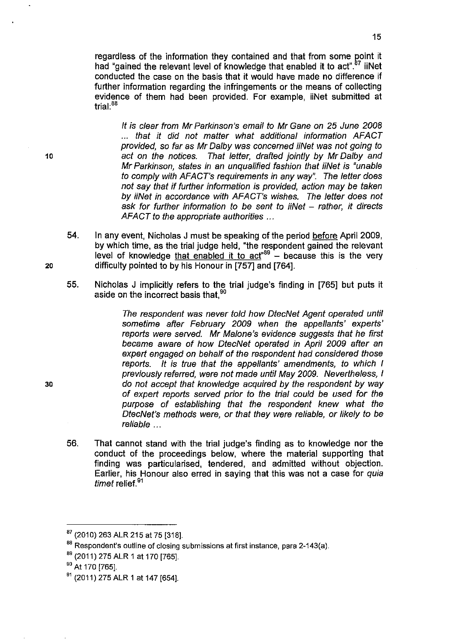regardless of the information they contained and that from some point it had "gained the relevant level of knowledge that enabled it to act".<sup>87</sup> iiNet conducted the case on the basis that it would have made no difference if further information regarding the infringements or the means of collecting evidence of them had been provided. For example, iiNet submitted at trial: <sup>88</sup>

It is clear from Mr Parkinson's email to Mr Gane on 25 June 2008 ... that it did not matter what additional information AFACT provided, so far as Mr Dalby was concerned iiNet was not going to act on the notices. That letter, drafted jointly by Mr Dalby and Mr Parkinson, states in an unqualified fashion that iiNet is "unable to comply with AFACT's requirements in any way". The letter does not say that if further information is provided, action may be taken by iiNet in accordance with AFACT's wishes. The letter does not ask for further information to be sent to  $i$ iNet  $-$  rather, it directs AFACT to the appropriate authorities ...

- 54. In any event, Nicholas J must be speaking of the period before April 2009, by which time, as the trial judge held, "the respondent gained the relevant level of knowledge that enabled it to  $\arctan^{889}$  - because this is the very difficulty pointed to by his Honour in [757] and [764].
- 55. Nicholas J implicitly refers to the trial judge's finding in [765] but puts it aside on the incorrect basis that.<sup>90</sup>

The respondent was never told how DtecNet Agent operated until sometime after February 2009 when the appellants' experts' reports were served. Mr Malone's evidence suggests that he first became aware of how DtecNet operated in April 2009 after an expert engaged on behalf of the respondent had considered those reports. It is true that the appellants' amendments, to which I previously referred, were not made until May 2009. Nevertheless, I 30 do not accept that knowledge acquired by the respondent by way of expert reports served prior to the trial could be used for the purpose of establishing that the respondent knew what the DtecNet's methods were, or that they were reliable, or likely to be reliable ...

56. That cannot stand with the trial judge's finding as to knowledge nor the conduct of the proceedings below, where the material supporting that finding was particularised, tendered, and admitted without objection. Earlier, his Honour also erred in saying that this was not a case for quia timet relief.<sup>91</sup>

10

<sup>&</sup>lt;sup>87</sup> (2010) 263 ALR 215 at 75 [318].

 $88$  Respondent's outline of closing submissions at first instance, para 2-143(a).

<sup>89 (2011) 275</sup> ALR 1 at 170 [765].

<sup>&</sup>lt;sup>90</sup> At 170 [765].<br><sup>91</sup> (2011) 275 ALR 1 at 147 [654].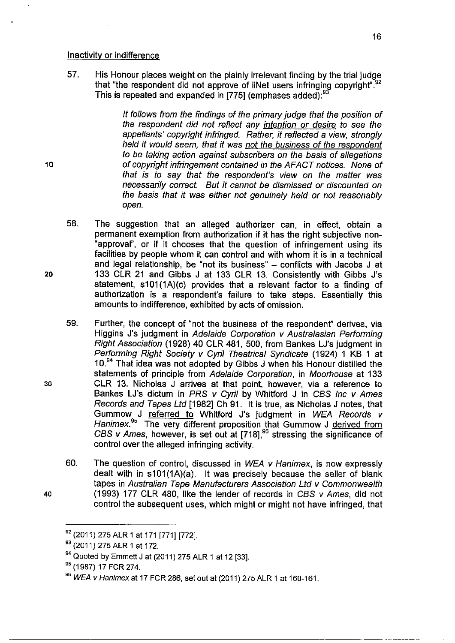#### Inactivity or indifference

57. His Honour places weight on the plainly irrelevant finding by the trial judge that "the respondent did not approve of iiNet users infringing copyright".<sup>92</sup> This is repeated and expanded in [775] (emphases added):<sup>93</sup>

It follows from the findings of the primary judge that the position of the respondent did not reflect any intention or desire to see the appellants' copyright infringed. Rather, it reflected a view, strongly held it would seem, that it was not the business of the respondent to be taking action against subscribers on the basis of allegations 10 of copyright infringement contained in the AFACT notices. None of that is to say that the respondent's view on the matter was necessarily correct. But it cannot be dismissed or discounted on the basis that it was either not genuinely held or not reasonably open.

- 58. The suggestion that an alleged authorizer can, in effect, obtain a permanent exemption from authorization if it has the right subjective non- "approval", or if it chooses that the question of infringement using its facilities by people whom it can control and with whom it is in a technical and legal relationship, be "not its business"  $-$  conflicts with Jacobs J at 20 133 CLR 21 and Gibbs J at 133 CLR 13. Consistently with Gibbs J's statement, s101(1A)(c) provides that a relevant factor to a finding of authorization is a respondent's failure to take steps. Essentially this amounts to indifference, exhibited by acts of omission.
- 59. Further, the concept of "not the business of the respondent" derives, via Higgins J's judgment in Adelaide Corporation v Australasian Performing Right Association (1928) 40 CLR 481, 500, from Bankes LJ's judgment in Performing Right Society v Cyril Theatrical Syndicate (1924) 1 KB 1 at  $10<sup>94</sup>$  That idea was not adopted by Gibbs J when his Honour distilled the statements of principle from Adelaide Corporation, in Moorhouse at 133 30 CLR 13. Nicholas J arrives at that point, however, via a reference to Bankes LJ's dictum in PRS v Cyril by Whitford J in CBS Inc v Ames Records and Tapes Ltd [1982] Ch 91. It is true, as Nicholas J notes, that Gummow J referred to Whitford J's judgment in WEA Records v Hanimex.<sup>95</sup> The very different proposition that Gummow J derived from CBS v Ames, however, is set out at  $[718]$ , <sup>96</sup> stressing the significance of control over the alleged infringing activity.
- 60. The question of control, discussed in  $WEA$  v Hanimex, is now expressly dealt with in  $s101(1A)(a)$ . It was precisely because the seller of blank tapes in Australian Tape Manufacturers Association Ltd v Commonwealth 40 (1993) 177 CLR 480, like the lender of records in CBS v Ames, did not control the subsequent uses, which might or might not have infringed, that

<sup>92</sup>(2011) 275 ALR 1 at 171 [771]-[772].

<sup>&</sup>lt;sup>93</sup> (2011) 275 ALR 1 at 172.

<sup>&</sup>lt;sup>94</sup> Quoted by Emmett J at (2011) 275 ALR 1 at 12 [33].

<sup>&</sup>lt;sup>95</sup> (1987) 17 FCR 274.

<sup>96</sup>WEA *v* Hanimex at 17 FCR 286, set out at (2011) 275 ALR 1 at 160-161.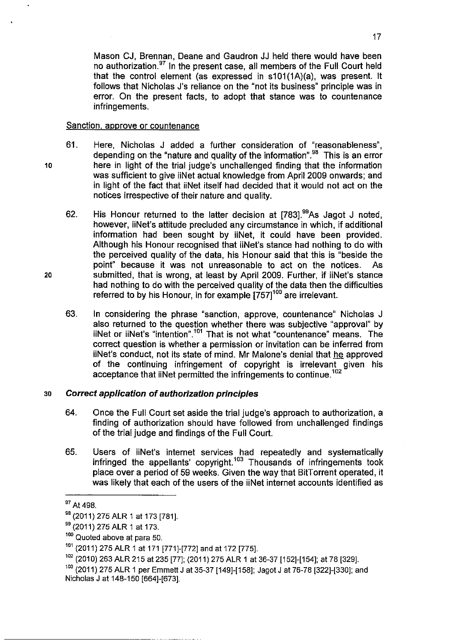17

Mason CJ, Brennan, Deane and Gaudron JJ held there would have been no authorization.<sup>97</sup> In the present case, all members of the Full Court held that the control element (as expressed in s101(1A)(a), was present. It follows that Nicholas J's reliance on the "not its business" principle was in error. On the present facts, to adopt that stance was to countenance infringements.

### Sanction, approve or countenance

- 61. Here, Nicholas J added a further consideration of "reasonableness", depending on the "nature and quality of the information".<sup>98</sup> This is an error 10 here in light of the trial judge's unchallenged finding that the information was sufficient to give iiNet actual knowledge from April 2009 onwards; and in light of the fact that iiNet itself had decided that it would not act on the notices irrespective of their nature and quality.
- 62. His Honour returned to the latter decision at [783].<sup>99</sup>As Jagot J noted, however, iiNet's attitude precluded any circumstance in which, if additional information had been sought by iiNet, it could have been provided. Although his Honour recognised that iiNet's stance had nothing to do with the perceived quality of the data, his Honour said that this is "beside the point" because it was not unreasonable to act on the notices. As 20 submitted, that is wrong, at least by April 2009. Further, if iiNet's stance had nothing to do with the perceived quality of the data then the difficulties referred to by his Honour, in for example  $[757]^{100}$  are irrelevant.
	- 63. In considering the phrase "sanction, approve, countenance" Nicholas J also returned to the question whether there was subjective "approval" by iiNet or iiNet's "intention".<sup>101</sup> That is not what "countenance" means. The correct question is whether a permission or invitation can be inferred from iiNet's conduct, not its state of mind. Mr Malone's denial that he approved of the continuing infringement of copyright is irrelevant given his acceptance that iiNet permitted the infringements to continue.<sup>102</sup>

### 30 **Correct application of authorization principles**

- 64. Once the Full Court set aside the trial judge's approach to authorization, a finding of authorization should have followed from unchallenged findings of the trial judge and findings of the Full Court.
- 65. Users of iiNet's internet services had repeatedly and systematically infringed the appellants' copyright.<sup>103</sup> Thousands of infringements took place over a period of 59 weeks. Given the way that BitTorrent operated, it was likely that each of the users of the iiNet internet accounts identified as

<sup>97</sup> At 498.

<sup>&</sup>lt;sup>98</sup> (2011) 275 ALR 1 at 173 [781].

<sup>&</sup>lt;sup>99</sup> (2011) 275 ALR 1 at 173.

<sup>&</sup>lt;sup>100</sup> Quoted above at para 50.

<sup>101 (2011) 275</sup> ALR 1 at 171 [771]-[772] and at 172 [775].

 $102$  (2010) 263 ALR 215 at 235 [77]; (2011) 275 ALR 1 at 36-37 [152]-[154]; at 78 [329].

<sup>103 (2011) 275</sup> ALR 1 per Emmett J at 35-37 [149]-[158]; Jagot J at 76-78 [322]-[330]; and Nicholas J at 148-150 [664]-[673].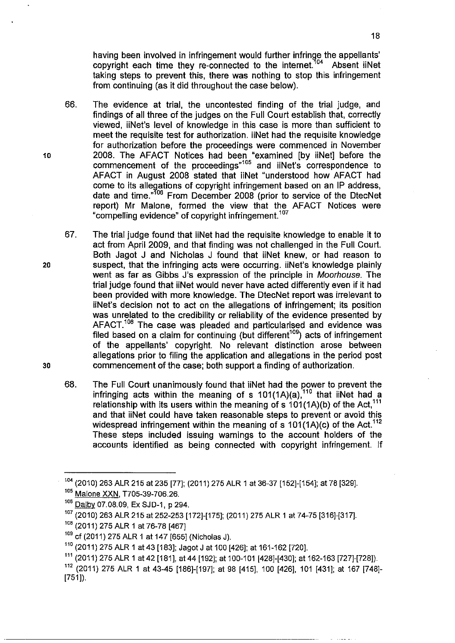having been involved in infringement would further infringe the appellants' copyright each time they re-connected to the internet.<sup>104</sup> Absent iiNet taking steps to prevent this, there was nothing to stop this infringement from continuing (as it did throughout the case below).

- 66. The evidence at trial, the uncontested finding of the trial judge, and findings of all three of the judges on the Full Court establish that, correctly viewed, iiNet's level of knowledge in this case is more than sufficient to meet the requisite test for authorization. iiNet had the requisite knowledge for authorization before the proceedings were commenced in November 10 2008. The AFACT Notices had been "examined [by iiNet] before the commencement of the proceedings"<sup>105</sup> and iiNet's correspondence to AFACT in August 2008 stated that iiNet "understood how AFACT had come to its allegations of copyright infringement based on an IP address, date and time."<sup>106</sup> From December 2008 (prior to service of the DtecNet report) Mr Malone, formed the view that the AFACT Notices were "compelling evidence" of copyright infringement.<sup>107</sup>
- 67. The trial judge found that iiNet had the requisite knowledge to enable it to act from April 2009, and that finding was not challenged in the Full Court. Both Jagot J and Nicholas J found that iiNet knew, or had reason to 20 suspect, that the infringing acts were occurring. iiNet's knowledge plainly went as far as Gibbs J's expression of the principle in Moorhouse. The trial judge found that iiNet would never have acted differently even if it had been provided with more knowledge. The DtecNet report was irrelevant to iiNet's decision not to act on the allegations of infringement; its position was unrelated to the credibility or reliability of the evidence presented by AFACT.<sup>108</sup> The case was pleaded and particularised and evidence was filed based on a claim for continuing (but different<sup>109</sup>) acts of infringement of the appellants' copyright. No relevant distinction arose between allegations prior to filing the application and allegations in the period post 30 commencement of the case; both support a finding of authorization.
	- 68. The Full Court unanimously found that iiNet had the power to prevent the infringing acts within the meaning of s  $101(1A)(a)$ ,<sup>110</sup> that iiNet had a relationship with its users within the meaning of s  $101(1A)(b)$  of the Act,  $111$ and that iiNet could have taken reasonable steps to prevent or avoid this widespread infringement within the meaning of s  $101(1A)(c)$  of the Act.<sup>112</sup> These steps included issuing warnings to the account holders of the accounts identified as being connected with copyright infringement. If

<sup>104</sup>(2010) 263 ALR 215 at 235 [77]; (2011) 275 ALR 1 at 36-37 [152]-[154]; at 78 [329].

<sup>105</sup> Malone XXN, T705-39-706.26.

<sup>106</sup> Dalby 07.08.09, Ex SJD-1, p 294.

<sup>107 (2010) 263</sup> ALR 215 at 252-253 [172]-[175]; (2011) 275 ALR 1 at 74-75 [316]-[317].

<sup>108</sup>(2011) 275 ALR 1 at 76-78 [467]

<sup>109</sup> cf (2011) 275 ALR 1 at 147 [655] (Nicholas J).

<sup>110</sup>(2011) 275 ALR 1 at43 [183]; Jagot J at 100 [426]; at 161-162 [720].

<sup>111</sup>(2011) 275 ALR 1 at42 [181], at44 [192]; at 100-101 [428]-[430]; at 162-163 [727]-[728]).

<sup>112</sup>(2011) 275 ALR 1 at 43-45 [186]-[197]; at 98 [415], 100 [426], 101 [431]; at 167 [748]-  $[751]$ ).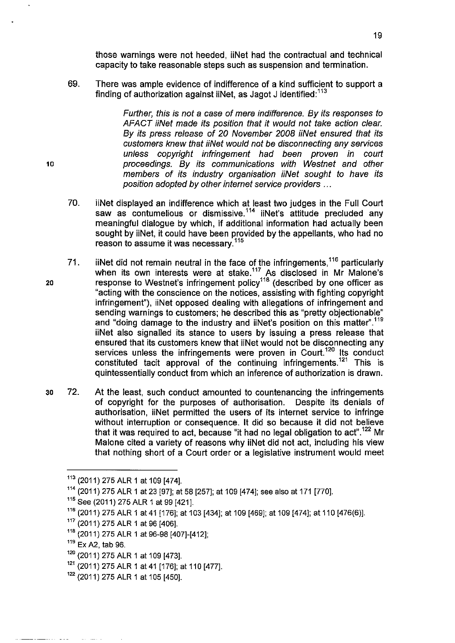those warnings were not heeded, iiNet had the contractual and technical capacity to take reasonable steps such as suspension and termination.

69. There was ample evidence of indifference of a kind sufficient to support a finding of authorization against iiNet, as Jagot J identified:  $113$ 

> Further, this is not a case of mere indifference. By its responses to AFACT iiNet made its position that it would not take action clear. By its press release of 20 November 2008 iiNet ensured that its customers knew that iiNet would not be disconnecting any services unless copyright infringement had been proven in court proceedings. By its communications with Westnet and other members of its industry organisation iiNet sought to have its position adopted by other internet service providers ...

- 70. iiNet displayed an indifference which at least two judges in the Full Court saw as contumelious or dismissive.<sup>114</sup> iiNet's attitude precluded any meaningful dialogue by which, if additional information had actually been sought by iiNet, it could have been provided by the appellants, who had no reason to assume it was necessary.<sup>115</sup>
- 71. 20 iiNet did not remain neutral in the face of the infringements,<sup>116</sup> particularly when its own interests were at stake.<sup>117</sup> As disclosed in Mr Malone's response to Westnet's infringement policy<sup>118</sup> (described by one officer as "acting with the conscience on the notices, assisting with fighting copyright infringement''), iiNet opposed dealing with allegations of infringement and sending warnings to customers; he described this as "pretty objectionable" and "doing damage to the industry and iiNet's position on this matter''.<sup>119</sup> iiNet also signalled its stance to users by issuing a press release that ensured that its customers knew that iiNet would not be disconnecting any services unless the infringements were proven in Court.<sup>120</sup> Its conduct constituted tacit approval of the continuing infringements.<sup>121</sup> This is quintessentially conduct from which an inference of authorization is drawn.
- 30 72. At the least, such conduct amounted to countenancing the infringements of copyright for the purposes of authorisation. Despite its denials of authorisation, iiNet permitted the users of its internet service to infringe without interruption or consequence. It did so because it did not believe that it was required to act, because "it had no legal obligation to act".<sup>122</sup> Mr Malone cited a variety of reasons why iiNet did not act, including his view that nothing short of a Court order or a legislative instrument would meet

<sup>113 (2011) 275</sup> ALR 1 at 109 [474].

<sup>114</sup>(2011) 275 ALR 1 at 23 [97]; at 58 [257]; at 109 [474]; see also at 171 [770].

<sup>115</sup> See (2011) 275 ALR 1 at 99 [421].

<sup>116 (2011) 275</sup> ALR 1 at 41 [176]; at 103 [434]; at 109 [469]; at 109 [474]; at 110 [476(6)].

<sup>117</sup>(2011) 275 ALR 1 at 96 [406].

<sup>118</sup>(2011) 275 ALR 1 at96-98 [407]-[412];

<sup>&</sup>lt;sup>119</sup> Ex A2, tab 96.<br><sup>120</sup> (2011) 275 ALR 1 at 109 [473].

<sup>121</sup>(2011) 275 ALR 1 at 41 [176]; at 110 [477].

<sup>122</sup>(2011) 275 ALR 1 at 105 [450].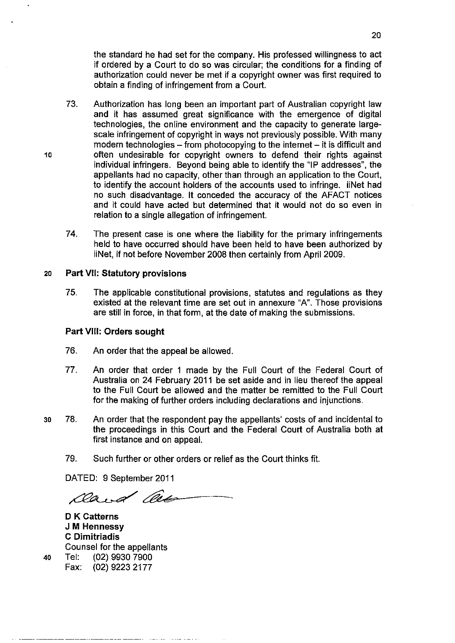the standard he had set for the company. His professed willingness to act if ordered by a Court to do so was circular; the conditions for a finding of authorization could never be met if a copyright owner was first required to obtain a finding of infringement from a Court.

- 73. Authorization has long been an important part of Australian copyright law and it has assumed great significance with the emergence of digital technologies, the online environment and the capacity to generate largescale infringement of copyright in ways not previously possible. With many modern technologies  $-$  from photocopying to the internet  $-$  it is difficult and 10 often undesirable for copyright owners to defend their rights against individual infringers. Beyond being able to identify the "IP addresses", the appellants had no capacity, other than through an application to the Court, to identify the account holders of the accounts used to infringe. iiNet had no such disadvantage. It conceded the accuracy of the AFACT notices and it could have acted but determined that it would not do so even in relation to a single allegation of infringement.
	- 74. The present case is one where the liability for the primary infringements held to have occurred should have been held to have been authorized by iiNet, if not before November 2008 then certainly from April 2009.

#### 20 **Part** VII: **Statutory provisions**

75. The applicable constitutional provisions, statutes and regulations as they existed at the relevant time are set out in annexure "A". Those provisions are still in force, in that form, at the date of making the submissions.

### **Part VIII: Orders sought**

- 76. An order that the appeal be allowed.
- 77. An order that order 1 made by the Full Court of the Federal Court of Australia on 24 February 2011 be set aside and in lieu thereof the appeal to the Full Court be allowed and the matter be remitted to the Full Court for the making of further orders including declarations and injunctions.
- 30 78. An order that the respondent pay the appellants' costs of and incidental to the proceedings in this Court and the Federal Court of Australia both at first instance and on appeal.
	- 79. Such further or other orders or relief as the Court thinks fit.

DATED: 9 September 2011

Davd Ces

**D K Catterns J M Hennessy C Dimitriadis**  Counsel for the appellants 40 Tel: (02) 9930 7900

Fax: (02) 9223 2177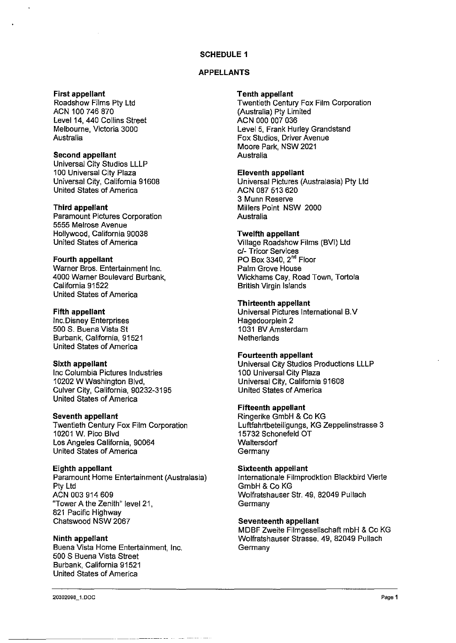#### **SCHEDULE 1**

#### **APPELLANTS**

#### **First appellant**

Roadshow Films Pty Ltd ACN 100 746 870 Level 14, 440 Collins Street Melbourne, Victoria 3000 **Australia** 

#### **Second appellant**

Universal City Studios LLLP 100 Universal City Plaza Universal City, California 91608 United States of America

#### **Third appellant**

Paramount Pictures Corporation 5555 Melrose Avenue Hollywood, California 90038 United States of America

#### **Fourth appellant**

Warner Bros. Entertainment Inc. 4000 Warner Boulevard Burbank, California 91522 United States of America

#### **Fifth appellant**

Inc. Disney Enterprises 500 S. Buena Vista St Burbank, California, 91521 United States of America

#### **Sixth appellant**

Inc Columbia Pictures Industries 10202 W Washington Blvd, Culver City, California, 90232-3195 United States of America

#### **Seventh appellant**

Twentieth Century Fox Film Corporation 10201 W. Pica Blvd Los Angeles California, 90064 United States of America

#### **Eighth appellant**

Paramount Home Entertainment (Australasia) Pty Ltd ACN 003 914 609 "Tower A the Zenith" level 21, 821 Pacific Highway Chatswood NSW 2067

#### **Ninth appellant**

Buena Vista Home Entertainment, Inc. 500 S Buena Vista Street Burbank, California 91521 United States of America

### **Tenth appellant**

Twentieth Century Fox Film Corporation (Australia) Pty Limited ACN 000 007 036 Level 5, Frank Hurley Grandstand Fox Studios, Driver Avenue Moore Park, NSW 2021 **Australia** 

#### **Eleventh appellant**

Universal Pictures (Australasia) Pty Ltd ACN 087 513 620 3 Munn Reserve Millers Point NSW 2000 **Australia** 

#### **Twelfth appellant**

Village Roadshow Films (BVI) Ltd c/- Tricor Services PO Box 3340, 2<sup>nd</sup> Floor Palm Grove House Wickhams Cay, Road Town, Tortola British Virgin Islands

#### **Thirteenth appellant**

Universal Pictures International B.V Hagedoorplein 2 1031 BV Amsterdam **Netherlands** 

#### **Fourteenth appellant**

Universal City Studios Productions LLLP 100 Universal City Plaza Universal City, California 91608 United States of America

#### **Fifteenth appellant**

Ringerike GmbH & Co KG Luftfahrtbeteiligungs, KG Zeppelinstrasse 3 15732 Schonefeld OT **Waltersdorf Germany** 

### **Sixteenth appellant**

lnternationale Filmprodktion Blackbird Vierte GmbH & Co KG Wolfratshauser Str. 49, 82049 Pullach **Germany** 

#### **Seventeenth appellant**

MDBF Zweite Filmgesellschaft mbH & Co KG Wolfratshauser Strasse. 49, 82049 Pullach **Germany**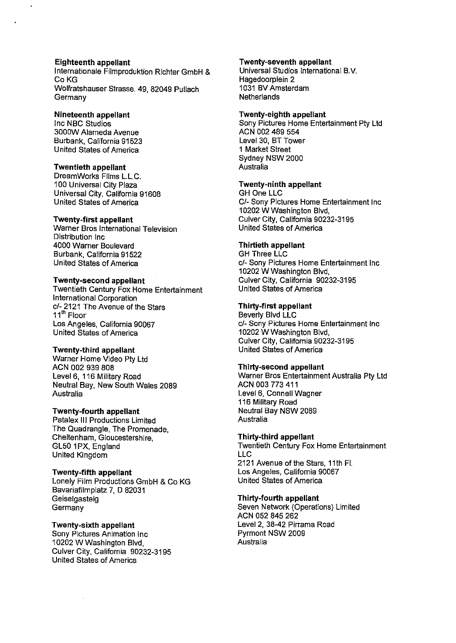### **Eighteenth appellant**

lnternationale Filmproduktion Richter GmbH & Co KG Wolfratshauser Strasse. 49, 82049 Pullach **Germany** 

#### **Nineteenth appellant**

Inc NBC Studios 3000W Alameda Avenue Burbank, California 91523 United States of America

#### **Twentieth appellant**

DreamWorks Films L.L.C. 100 Universal City Plaza Universal City, California 91608 United States of America

#### **Twenty-first appellant**

Warner Bros International Television Distribution Inc 4000 Warner Boulevard Burbank, California 91522 United States of America

#### **Twenty-second appellant**

Twentieth Century Fox Home Entertainment International Corporation c/- 2121 The Avenue of the Stars 11<sup>th</sup> Floor Los Angeles, California 90067 United States of America

#### **Twenty-third appellant**

Warner Home Video Pty Ltd ACN 002 939 808 Level 6, 116 Military Road Neutral Bay, New South Wales 2089 Australia

#### **Twenty-fourth appellant**

Patalex Ill Productions Limited The Quadrangle, The Promenade, Cheltenham, Gloucestershire, GL50 1PX, England United Kingdom

#### **Twenty-fifth appellant**

Lonely Film Productions GmbH & Co KG Bavariafilmplatz 7, D 82031 Geiselgasteig **Germany** 

#### **Twenty-sixth appellant**

Sony Pictures Animation Inc 10202 WWashington Blvd, Culver City, California 90232-3195 United States of America

#### **Twenty-seventh appellant**

Universal Studios International B. V. Hagedoorplein 2 1031 BV Amsterdam **Netherlands** 

#### **Twenty-eighth appellant**

Sony Pictures Home Entertainment Pty Ltd ACN 002 489 554 Level 30, BT Tower 1 Market Street Sydney NSW 2000 Australia

#### **Twenty-ninth appellant**

GH One LLC C/- Sony Pictures Home Entertainment Inc 10202 W Washington Blvd, Culver City, California 90232-3195 United States of America

#### **Thirtieth appellant**

**GH** Three LLC c/- Sony Pictures Home Entertainment Inc 10202 W Washington Blvd, Culver City, California 90232-3195 United States of America

#### **Thirty-first appellant**

Beverly Blvd LLC cl- Sony Pictures Home Entertainment Inc 10202 WWashington Blvd, Culver City, California 90232-3195 United States of America

#### **Thirty-second appellant**

Warner Bros Entertainment Australia Pty Ltd ACN 003 773 411 Level 6, Connell Wagner 116 Military Road Neutral Bay NSW 2089 Australia

#### **Thirty-third appellant**

Twentieth Century Fox Home Entertainment LLC 2121 Avenue of the Stars, 11th Fl. Los Angeles, California 90067 United States of America

#### **Thirty-fourth appellant**

Seven Network {Operations) Limited ACN 052 845 262 Level 2, 38-42 Pirrama Road Pyrmont NSW 2009 **Australia**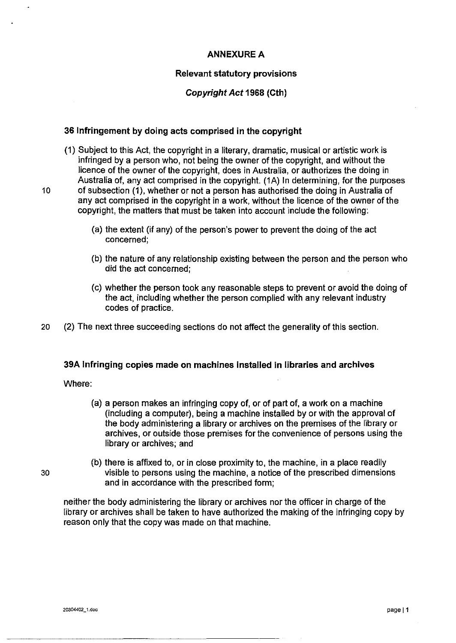### ANNEXURE A

### Relevant statutory provisions

### Copyright Act 1968 (Cth)

### 36 Infringement by doing acts comprised in the copyright

- (1) Subject to this Act, the copyright in a literary, dramatic, musical or artistic work is infringed by a person who, not being the owner of the copyright, and without the licence of the owner of the copyright, does in Australia, or authorizes the doing in Australia of, any act comprised in the copyright. (1A) In determining, for the purposes 10 of subsection (1), whether or not a person has authorised the doing in Australia of any act comprised in the copyright in a work, without the licence of the owner of the copyright, the matters that must be taken into account include the following:
	- (a) the extent (if any) of the person's power to prevent the doing of the act concerned;
	- (b) the nature of any relationship existing between the person and the person who did the act concerned;
	- (c) whether the person took any reasonable steps to prevent or avoid the doing of the act, including whether the person complied with any relevant industry codes of practice.
- 20 (2) The next three succeeding sections do not affect the generality of this section.

### 39A Infringing copies made on machines installed in libraries and archives

Where:

- (a) a person makes an infringing copy of, or of part of, a work on a machine (including a computer), being a machine installed by or with the approval of the body administering a library or archives on the premises of the library or archives, or outside those premises for the convenience of persons using the library or archives; and
- (b) there is affixed to, or in close proximity to, the machine, in a place readily 30 visible to persons using the machine, a notice of the prescribed dimensions and in accordance with the prescribed form;

neither the body administering the library or archives nor the officer in charge of the library or archives shall be taken to have authorized the making of the infringing copy by reason only that the copy was made on that machine.